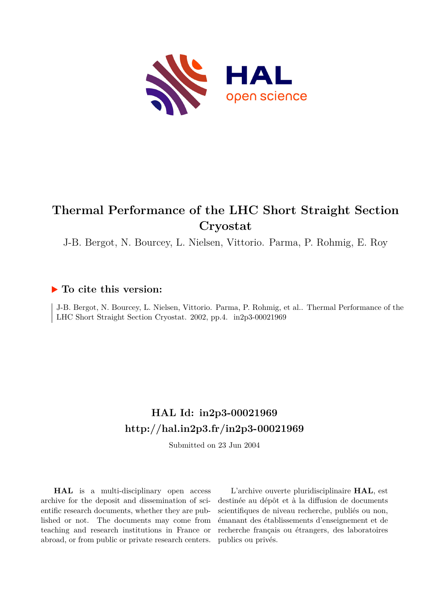

# **Thermal Performance of the LHC Short Straight Section Cryostat**

J-B. Bergot, N. Bourcey, L. Nielsen, Vittorio. Parma, P. Rohmig, E. Roy

# **To cite this version:**

J-B. Bergot, N. Bourcey, L. Nielsen, Vittorio. Parma, P. Rohmig, et al.. Thermal Performance of the LHC Short Straight Section Cryostat. 2002, pp.4. in2p3-00021969

# **HAL Id: in2p3-00021969 <http://hal.in2p3.fr/in2p3-00021969>**

Submitted on 23 Jun 2004

**HAL** is a multi-disciplinary open access archive for the deposit and dissemination of scientific research documents, whether they are published or not. The documents may come from teaching and research institutions in France or abroad, or from public or private research centers.

L'archive ouverte pluridisciplinaire **HAL**, est destinée au dépôt et à la diffusion de documents scientifiques de niveau recherche, publiés ou non, émanant des établissements d'enseignement et de recherche français ou étrangers, des laboratoires publics ou privés.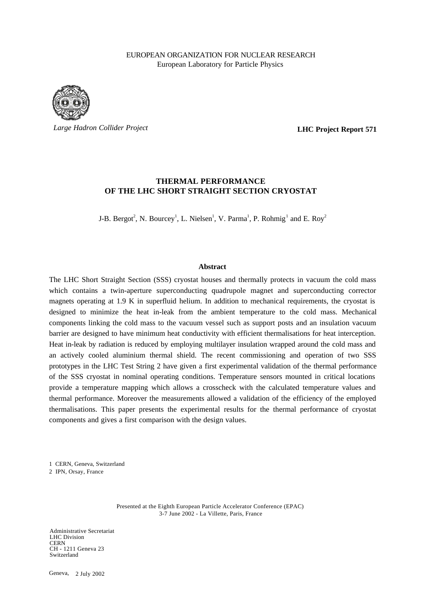## EUROPEAN ORGANIZATION FOR NUCLEAR RESEARCH European Laboratory for Particle Physics



*Large Hadron Collider Project*

**LHC Project Report 571**

# **THERMAL PERFORMANCE OF THE LHC SHORT STRAIGHT SECTION CRYOSTAT**

J-B. Bergot<sup>2</sup>, N. Bourcey<sup>1</sup>, L. Nielsen<sup>1</sup>, V. Parma<sup>1</sup>, P. Rohmig<sup>1</sup> and E. Roy<sup>2</sup>

#### **Abstract**

The LHC Short Straight Section (SSS) cryostat houses and thermally protects in vacuum the cold mass which contains a twin-aperture superconducting quadrupole magnet and superconducting corrector magnets operating at 1.9 K in superfluid helium. In addition to mechanical requirements, the cryostat is designed to minimize the heat in-leak from the ambient temperature to the cold mass. Mechanical components linking the cold mass to the vacuum vessel such as support posts and an insulation vacuum barrier are designed to have minimum heat conductivity with efficient thermalisations for heat interception. Heat in-leak by radiation is reduced by employing multilayer insulation wrapped around the cold mass and an actively cooled aluminium thermal shield. The recent commissioning and operation of two SSS prototypes in the LHC Test String 2 have given a first experimental validation of the thermal performance of the SSS cryostat in nominal operating conditions. Temperature sensors mounted in critical locations provide a temperature mapping which allows a crosscheck with the calculated temperature values and thermal performance. Moreover the measurements allowed a validation of the efficiency of the employed thermalisations. This paper presents the experimental results for the thermal performance of cryostat components and gives a first comparison with the design values.

1 CERN, Geneva, Switzerland

2 IPN, Orsay, France

Presented at the Eighth European Particle Accelerator Conference (EPAC) 3-7 June 2002 - La Villette, Paris, France

Administrative Secretariat LHC Division **CERN** CH - 1211 Geneva 23 Switzerland

Geneva, 2 July 2002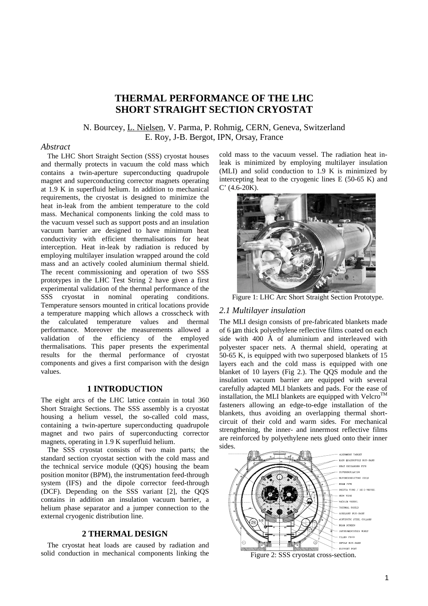# **THERMAL PERFORMANCE OF THE LHC SHORT STRAIGHT SECTION CRYOSTAT**

# N. Bourcey, L. Nielsen, V. Parma, P. Rohmig, CERN, Geneva, Switzerland E. Roy, J-B. Bergot, IPN, Orsay, France

#### *Abstract*

The LHC Short Straight Section (SSS) cryostat houses and thermally protects in vacuum the cold mass which contains a twin-aperture superconducting quadrupole magnet and superconducting corrector magnets operating at 1.9 K in superfluid helium. In addition to mechanical requirements, the cryostat is designed to minimize the heat in-leak from the ambient temperature to the cold mass. Mechanical components linking the cold mass to the vacuum vessel such as support posts and an insulation vacuum barrier are designed to have minimum heat conductivity with efficient thermalisations for heat interception. Heat in-leak by radiation is reduced by employing multilayer insulation wrapped around the cold mass and an actively cooled aluminium thermal shield. The recent commissioning and operation of two SSS prototypes in the LHC Test String 2 have given a first experimental validation of the thermal performance of the SSS cryostat in nominal operating conditions. Temperature sensors mounted in critical locations provide a temperature mapping which allows a crosscheck with the calculated temperature values and thermal performance. Moreover the measurements allowed a validation of the efficiency of the employed thermalisations. This paper presents the experimental results for the thermal performance of cryostat components and gives a first comparison with the design values.

# **1 INTRODUCTION**

The eight arcs of the LHC lattice contain in total 360 Short Straight Sections. The SSS assembly is a cryostat housing a helium vessel, the so-called cold mass, containing a twin-aperture superconducting quadrupole magnet and two pairs of superconducting corrector magnets, operating in 1.9 K superfluid helium.

The SSS cryostat consists of two main parts; the standard section cryostat section with the cold mass and the technical service module (QQS) housing the beam position monitor (BPM), the instrumentation feed-through system (IFS) and the dipole corrector feed-through (DCF). Depending on the SSS variant [2], the QQS contains in addition an insulation vacuum barrier, a helium phase separator and a jumper connection to the external cryogenic distribution line.

# **2 THERMAL DESIGN**

The cryostat heat loads are caused by radiation and solid conduction in mechanical components linking the

cold mass to the vacuum vessel. The radiation heat inleak is minimized by employing multilayer insulation (MLI) and solid conduction to 1.9 K is minimized by intercepting heat to the cryogenic lines  $E(50-65 K)$  and C' (4.6-20K).



Figure 1: LHC Arc Short Straight Section Prototype.

# *2.1 Multilayer insulation*

The MLI design consists of pre-fabricated blankets made of 6 µm thick polyethylene reflective films coated on each side with 400 Å of aluminium and interleaved with polyester spacer nets. A thermal shield, operating at 50-65 K, is equipped with two superposed blankets of 15 layers each and the cold mass is equipped with one blanket of 10 layers (Fig 2.). The QQS module and the insulation vacuum barrier are equipped with several carefully adapted MLI blankets and pads. For the ease of installation, the MLI blankets are equipped with Velcro<sup>TM</sup> fasteners allowing an edge-to-edge installation of the blankets, thus avoiding an overlapping thermal shortcircuit of their cold and warm sides. For mechanical strengthening, the inner- and innermost reflective films are reinforced by polyethylene nets glued onto their inner sides.



Figure 2: SSS cryostat cross-section.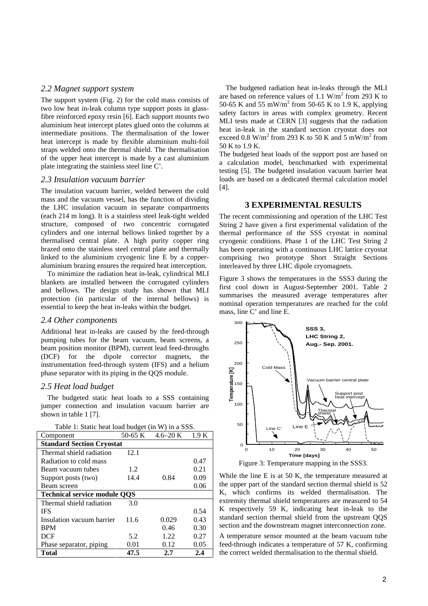#### *2.2 Magnet support system*

The support system (Fig. 2) for the cold mass consists of two low heat in-leak column type support posts in glassfibre reinforced epoxy resin [6]. Each support mounts two aluminium heat intercept plates glued onto the columns at intermediate positions. The thermalisation of the lower heat intercept is made by flexible aluminium multi-foil straps welded onto the thermal shield. The thermalisation of the upper heat intercept is made by a cast aluminium plate integrating the stainless steel line C'.

#### *2.3 Insulation vacuum barrier*

The insulation vacuum barrier, welded between the cold mass and the vacuum vessel, has the function of dividing the LHC insulation vacuum in separate compartments (each 214 m long). It is a stainless steel leak-tight welded structure, composed of two concentric corrugated cylinders and one internal bellows linked together by a thermalised central plate. A high purity copper ring brazed onto the stainless steel central plate and thermally linked to the aluminium cryogenic line E by a copperaluminium brazing ensures the required heat interception.

To minimize the radiation heat in-leak, cylindrical MLI blankets are installed between the corrugated cylinders and bellows. The design study has shown that MLI protection (in particular of the internal bellows) is essential to keep the heat in-leaks within the budget.

#### *2.4 Other components*

Additional heat in-leaks are caused by the feed-through pumping tubes for the beam vacuum, beam screens, a beam position monitor (BPM), current lead feed-throughs (DCF) for the dipole corrector magnets, the instrumentation feed-through system (IFS) and a helium phase separator with its piping in the QQS module.

## *2.5 Heat load budget*

The budgeted static heat loads to a SSS containing jumper connection and insulation vacuum barrier are shown in table 1 [7].

| Table 1: Static heat load budget (in W) in a SSS. |
|---------------------------------------------------|
|                                                   |

| Component                           | 50-65 K | $4.6 - 20$ K | 1.9 K |  |  |
|-------------------------------------|---------|--------------|-------|--|--|
| <b>Standard Section Cryostat</b>    |         |              |       |  |  |
| Thermal shield radiation            | 12.1    |              |       |  |  |
| Radiation to cold mass              |         |              | 0.47  |  |  |
| Beam vacuum tubes                   | 1.2     |              | 0.21  |  |  |
| Support posts (two)                 | 14.4    | 0.84         | 0.09  |  |  |
| Beam screen                         |         |              | 0.06  |  |  |
| <b>Technical service module OOS</b> |         |              |       |  |  |
| Thermal shield radiation            | 3.0     |              |       |  |  |
| <b>IFS</b>                          |         |              | 0.54  |  |  |
| Insulation vacuum barrier           | 11.6    | 0.029        | 0.43  |  |  |
| <b>BPM</b>                          |         | 0.46         | 0.30  |  |  |
| <b>DCF</b>                          | 5.2     | 1.22.        | 0.27  |  |  |
| Phase separator, piping             | 0.01    | 0.12         | 0.05  |  |  |
| Total                               | 47.5    | 2.7          | 2.4   |  |  |

The budgeted radiation heat in-leaks through the MLI are based on reference values of 1.1  $\text{W/m}^2$  from 293 K to 50-65 K and 55 mW/m<sup>2</sup> from 50-65 K to 1.9 K, applying safety factors in areas with complex geometry. Recent MLI tests made at CERN [3] suggests that the radiation heat in-leak in the standard section cryostat does not exceed 0.8 W/m<sup>2</sup> from 293 K to 50 K and 5 mW/m<sup>2</sup> from 50 K to 1.9 K.

The budgeted heat loads of the support post are based on a calculation model, benchmarked with experimental testing [5]. The budgeted insulation vacuum barrier heat loads are based on a dedicated thermal calculation model [4].

#### **3 EXPERIMENTAL RESULTS**

The recent commissioning and operation of the LHC Test String 2 have given a first experimental validation of the thermal performance of the SSS cryostat in nominal cryogenic conditions. Phase 1 of the LHC Test String 2 has been operating with a continuous LHC lattice cryostat comprising two prototype Short Straight Sections interleaved by three LHC dipole cryomagnets.

Figure 3 shows the temperatures in the SSS3 during the first cool down in August-September 2001. Table 2 summarises the measured average temperatures after nominal operation temperatures are reached for the cold mass, line C' and line E.



Figure 3: Temperature mapping in the SSS3.

While the line E is at 50 K, the temperature measured at the upper part of the standard section thermal shield is 52 K, which confirms its welded thermalisation. The extremity thermal shield temperatures are measured to 54 K respectively 59 K, indicating heat in-leak to the standard section thermal shield from the upstream QQS section and the downstream magnet interconnection zone.

A temperature sensor mounted at the beam vacuum tube feed-through indicates a temperature of 57 K, confirming the correct welded thermalisation to the thermal shield.